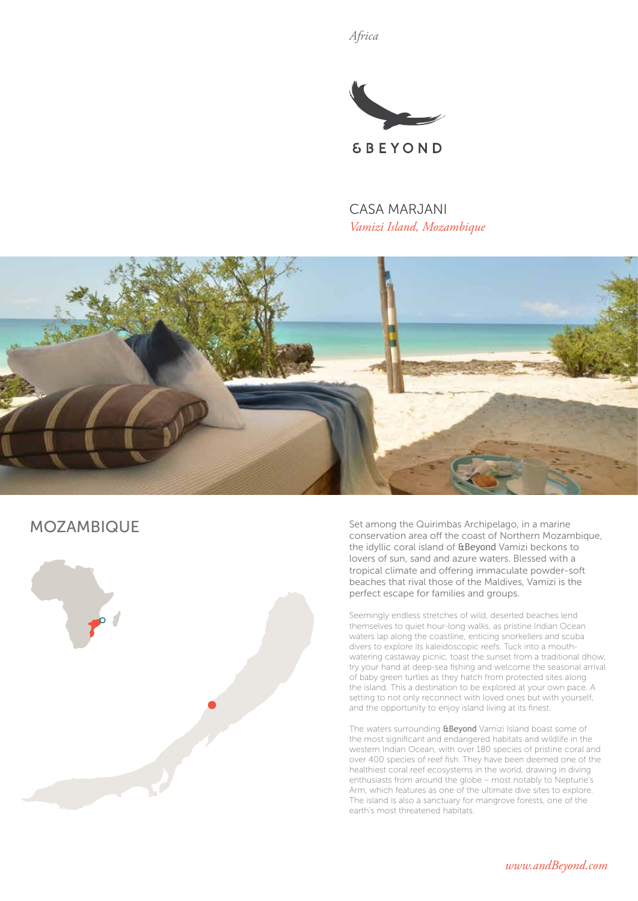*Africa*



CASA MARJANI *Vamizi Island, Mozambique*



# MOZAMBIQUE



Set among the Quirimbas Archipelago, in a marine conservation area off the coast of Northern Mozambique, the idyllic coral island of &Beyond Vamizi beckons to lovers of sun, sand and azure waters. Blessed with a tropical climate and offering immaculate powder-soft beaches that rival those of the Maldives, Vamizi is the perfect escape for families and groups.

Seemingly endless stretches of wild, deserted beaches lend themselves to quiet hour-long walks, as pristine Indian Ocean waters lap along the coastline, enticing snorkellers and scuba divers to explore its kaleidoscopic reefs. Tuck into a mouthwatering castaway picnic, toast the sunset from a traditional dhow, try your hand at deep-sea fishing and welcome the seasonal arrival of baby green turtles as they hatch from protected sites along the island. This a destination to be explored at your own pace. A setting to not only reconnect with loved ones but with yourself, and the opportunity to enjoy island living at its finest.

The waters surrounding **&Beyond** Vamizi Island boast some of the most significant and endangered habitats and wildlife in the western Indian Ocean, with over 180 species of pristine coral and over 400 species of reef fish. They have been deemed one of the healthiest coral reef ecosystems in the world, drawing in diving enthusiasts from around the globe – most notably to Neptune's Arm, which features as one of the ultimate dive sites to explore. The island is also a sanctuary for mangrove forests, one of the earth's most threatened habitats.

*www.andBeyond.com*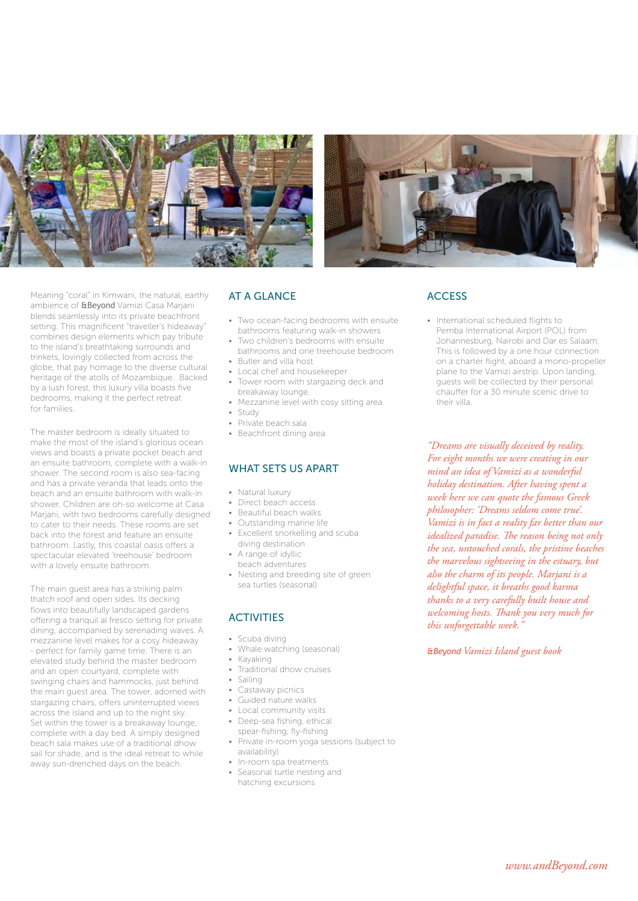



Meaning "coral" in Kimwani, the natural, earthy ambience of &Beyond Vamizi Casa Marjani blends seamlessly into its private beachfront setting. This magnificent "traveller's hideaway" combines design elements which pay tribute to the island's breathtaking surrounds and trinkets, lovingly collected from across the globe, that pay homage to the diverse cultural heritage of the atolls of Mozambique. Backed by a lush forest, this luxury villa boasts five bedrooms, making it the perfect retreat for families.

The master bedroom is ideally situated to make the most of the island's glorious ocean views and boasts a private pocket beach and an ensuite bathroom, complete with a walk-in shower. The second room is also sea-facing and has a private veranda that leads onto the beach and an ensuite bathroom with walk-in shower. Children are oh-so welcome at Casa Marjani, with two bedrooms carefully designed to cater to their needs. These rooms are set back into the forest and feature an ensuite bathroom. Lastly, this coastal oasis offers a spectacular elevated 'treehouse' bedroom with a lovely ensuite bathroom.

The main guest area has a striking palm thatch roof and open sides. Its decking flows into beautifully landscaped gardens offering a tranquil al fresco setting for private dining, accompanied by serenading waves. A mezzanine level makes for a cosy hideaway - perfect for family game time. There is an elevated study behind the master bedroom and an open courtyard, complete with swinging chairs and hammocks, just behind the main guest area. The tower, adorned with stargazing chairs, offers uninterrupted views across the island and up to the night sky. Set within the tower is a breakaway lounge, complete with a day bed. A simply designed beach sala makes use of a traditional dhow sail for shade, and is the ideal retreat to while away sun-drenched days on the beach.

## AT A GLANCE

- Two ocean-facing bedrooms with ensuite bathrooms featuring walk-in showers
- Two children's bedrooms with ensuite bathrooms and one treehouse bedroom • Butler and villa host
- Local chef and housekeeper
- Tower room with stargazing deck and breakaway lounge.
- Mezzanine level with cosy sitting area • Study
- 
- Private beach sala • Beachfront dining area

# WHAT SETS US APART

- Natural luxury
- Direct beach access
- Beautiful beach walks
- Outstanding marine life
- Excellent snorkelling and scuba diving destination
- A range of idyllic beach adventures
- Nesting and breeding site of green sea turtles (seasonal)

### **ACTIVITIES**

- Scuba diving
	- Whale watching (seasonal)
	- Kayaking
	- Traditional dhow cruises
	- Sailing
	- Castaway picnics
	- Guided nature walks
	- Local community visits
	- Deep-sea fishing, ethical spear-fishing, fly-fishing
	- Private in-room yoga sessions (subject to availability)
	- In-room spa treatments
	- Seasonal turtle nesting and hatching excursions

## **ACCESS**

• International scheduled flights to Pemba International Airport (POL) from Johannesburg, Nairobi and Dar es Salaam. This is followed by a one hour connection on a charter flight, aboard a mono-propeller plane to the Vamizi airstrip. Upon landing, guests will be collected by their personal chauffer for a 30 minute scenic drive to their villa.

*"Dreams are visually deceived by reality. For eight months we were creating in our mind an idea of Vamizi as a wonderful holiday destination. After having spent a week here we can quote the famous Greek philosopher: 'Dreams seldom come true'. Vamizi is in fact a reality far better than our idealized paradise. The reason being not only the sea, untouched corals, the pristine beaches the marvelous sightseeing in the estuary, but also the charm of its people. Marjani is a delightful space, it breaths good karma thanks to a very carefully built house and welcoming hosts. Thank you very much for this unforgettable week."*

*&Beyond Vamizi Island guest book*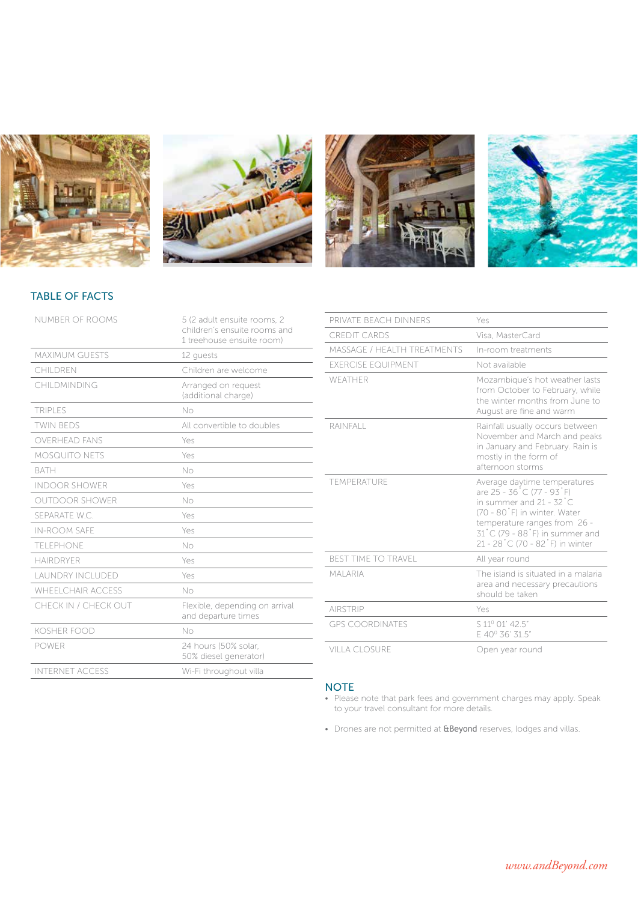







# TABLE OF FACTS

| NUMBER OF ROOMS          | 5 (2 adult ensuite rooms, 2<br>children's ensuite rooms and<br>1 treehouse ensuite room) |
|--------------------------|------------------------------------------------------------------------------------------|
| <b>MAXIMUM GUESTS</b>    | 12 quests                                                                                |
| CHILDREN                 | Children are welcome                                                                     |
| CHII DMINDING            | Arranged on request<br>(additional charge)                                               |
| <b>TRIPLES</b>           | No                                                                                       |
| <b>TWIN BEDS</b>         | All convertible to doubles                                                               |
| <b>OVERHEAD FANS</b>     | Yes                                                                                      |
| <b>MOSQUITO NETS</b>     | Yes                                                                                      |
| <b>BATH</b>              | No                                                                                       |
| <b>INDOOR SHOWER</b>     | Yes                                                                                      |
| <b>OUTDOOR SHOWER</b>    | No                                                                                       |
| SEPARATE W.C.            | Yes                                                                                      |
| <b>IN-ROOM SAFE</b>      | Yes                                                                                      |
| <b>TELEPHONE</b>         | No                                                                                       |
| HAIRDRYFR                | Yes                                                                                      |
| <b>LAUNDRY INCLUDED</b>  | Yes                                                                                      |
| <b>WHEELCHAIR ACCESS</b> | No                                                                                       |
| CHECK IN / CHECK OUT     | Flexible, depending on arrival<br>and departure times                                    |
| <b>KOSHER FOOD</b>       | No                                                                                       |
| <b>POWER</b>             | 24 hours (50% solar.<br>50% diesel generator)                                            |
| <b>INTERNET ACCESS</b>   | Wi-Fi throughout villa                                                                   |
|                          |                                                                                          |

| PRIVATE BEACH DINNERS       | Yes                                                                                                                                                                                                                                       |
|-----------------------------|-------------------------------------------------------------------------------------------------------------------------------------------------------------------------------------------------------------------------------------------|
| CREDIT CARDS                | Visa, MasterCard                                                                                                                                                                                                                          |
| MASSAGE / HEALTH TREATMENTS | In-room treatments                                                                                                                                                                                                                        |
| <b>FXERCISE EQUIPMENT</b>   | Not available                                                                                                                                                                                                                             |
| WFATHER                     | Mozambique's hot weather lasts<br>from October to February, while<br>the winter months from June to<br>August are fine and warm                                                                                                           |
| RAINFALL                    | Rainfall usually occurs between<br>November and March and peaks<br>in January and February. Rain is<br>mostly in the form of<br>afternoon storms                                                                                          |
| <b>TEMPERATURE</b>          | Average daytime temperatures<br>are 25 - 36 °C (77 - 93 °F)<br>in summer and $21 - 32^{\circ}$ C<br>(70 - 80°F) in winter. Water<br>temperature ranges from 26 -<br>31 °C (79 - 88 °F) in summer and<br>21 - 28 °C (70 - 82 °F) in winter |
| <b>BEST TIME TO TRAVEL</b>  | All year round                                                                                                                                                                                                                            |
| MAI ARIA                    | The island is situated in a malaria<br>area and necessary precautions<br>should be taken                                                                                                                                                  |
| <b>AIRSTRIP</b>             | Yes                                                                                                                                                                                                                                       |
| <b>GPS COORDINATES</b>      | S 11º 01' 42.5"<br>E 40° 36' 31.5"                                                                                                                                                                                                        |
| VILLA CLOSURE               | Open year round                                                                                                                                                                                                                           |

#### **NOTE**

- Please note that park fees and government charges may apply. Speak to your travel consultant for more details.
- Drones are not permitted at **&Beyond** reserves, lodges and villas.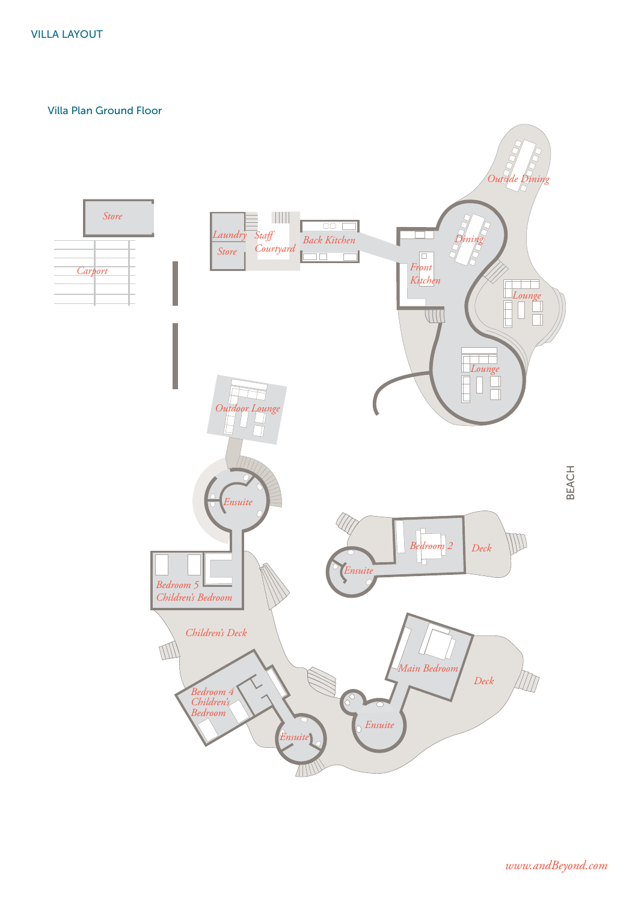Villa Plan Ground Floor